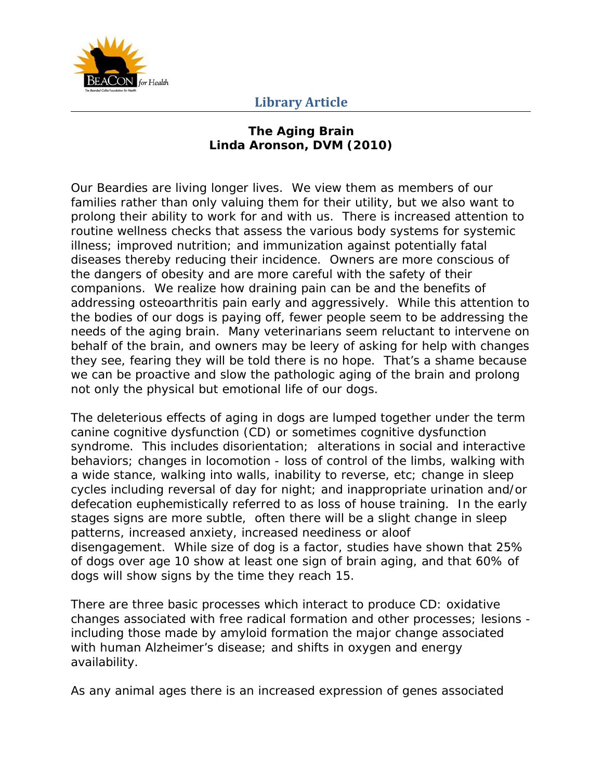

#### **The Aging Brain Linda Aronson, DVM (2010)**

Our Beardies are living longer lives. We view them as members of our families rather than only valuing them for their utility, but we also want to prolong their ability to work for and with us. There is increased attention to routine wellness checks that assess the various body systems for systemic illness; improved nutrition; and immunization against potentially fatal diseases thereby reducing their incidence. Owners are more conscious of the dangers of obesity and are more careful with the safety of their companions. We realize how draining pain can be and the benefits of addressing osteoarthritis pain early and aggressively. While this attention to the bodies of our dogs is paying off, fewer people seem to be addressing the needs of the aging brain. Many veterinarians seem reluctant to intervene on behalf of the brain, and owners may be leery of asking for help with changes they see, fearing they will be told there is no hope. That's a shame because we can be proactive and slow the pathologic aging of the brain and prolong not only the physical but emotional life of our dogs.

The deleterious effects of aging in dogs are lumped together under the term canine cognitive dysfunction (CD) or sometimes cognitive dysfunction syndrome. This includes disorientation; alterations in social and interactive behaviors; changes in locomotion - loss of control of the limbs, walking with a wide stance, walking into walls, inability to reverse, etc; change in sleep cycles including reversal of day for night; and inappropriate urination and/or defecation euphemistically referred to as loss of house training. In the early stages signs are more subtle, often there will be a slight change in sleep patterns, increased anxiety, increased neediness or aloof disengagement. While size of dog is a factor, studies have shown that 25% of dogs over age 10 show at least one sign of brain aging, and that 60% of dogs will show signs by the time they reach 15.

There are three basic processes which interact to produce CD: oxidative changes associated with free radical formation and other processes; lesions including those made by amyloid formation the major change associated with human Alzheimer's disease; and shifts in oxygen and energy availability.

As any animal ages there is an increased expression of genes associated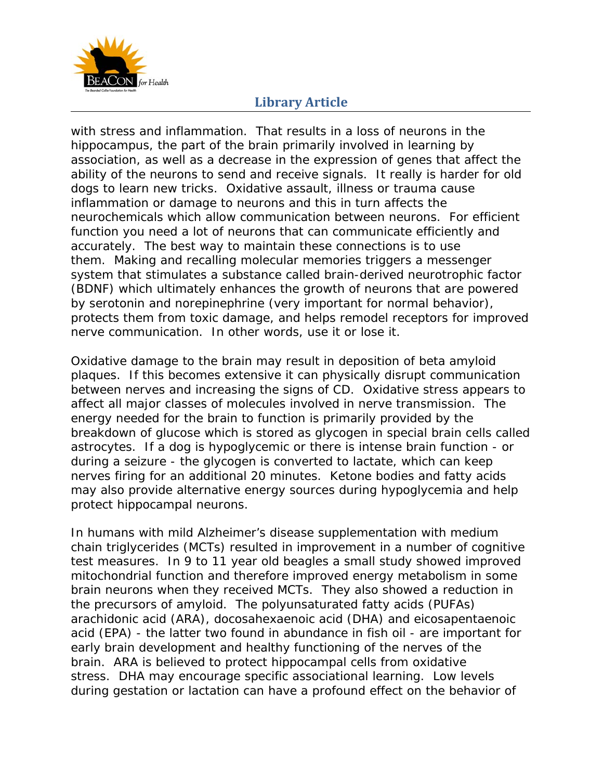

with stress and inflammation. That results in a loss of neurons in the hippocampus, the part of the brain primarily involved in learning by association, as well as a decrease in the expression of genes that affect the ability of the neurons to send and receive signals. It really is harder for old dogs to learn new tricks. Oxidative assault, illness or trauma cause inflammation or damage to neurons and this in turn affects the neurochemicals which allow communication between neurons. For efficient function you need a lot of neurons that can communicate efficiently and accurately. The best way to maintain these connections is to use them. Making and recalling molecular memories triggers a messenger system that stimulates a substance called brain-derived neurotrophic factor (BDNF) which ultimately enhances the growth of neurons that are powered by serotonin and norepinephrine (very important for normal behavior), protects them from toxic damage, and helps remodel receptors for improved nerve communication. In other words, use it or lose it.

Oxidative damage to the brain may result in deposition of beta amyloid plaques. If this becomes extensive it can physically disrupt communication between nerves and increasing the signs of CD. Oxidative stress appears to affect all major classes of molecules involved in nerve transmission. The energy needed for the brain to function is primarily provided by the breakdown of glucose which is stored as glycogen in special brain cells called astrocytes. If a dog is hypoglycemic or there is intense brain function - or during a seizure - the glycogen is converted to lactate, which can keep nerves firing for an additional 20 minutes. Ketone bodies and fatty acids may also provide alternative energy sources during hypoglycemia and help protect hippocampal neurons.

In humans with mild Alzheimer's disease supplementation with medium chain triglycerides (MCTs) resulted in improvement in a number of cognitive test measures. In 9 to 11 year old beagles a small study showed improved mitochondrial function and therefore improved energy metabolism in some brain neurons when they received MCTs. They also showed a reduction in the precursors of amyloid. The polyunsaturated fatty acids (PUFAs) arachidonic acid (ARA), docosahexaenoic acid (DHA) and eicosapentaenoic acid (EPA) - the latter two found in abundance in fish oil - are important for early brain development and healthy functioning of the nerves of the brain. ARA is believed to protect hippocampal cells from oxidative stress. DHA may encourage specific associational learning. Low levels during gestation or lactation can have a profound effect on the behavior of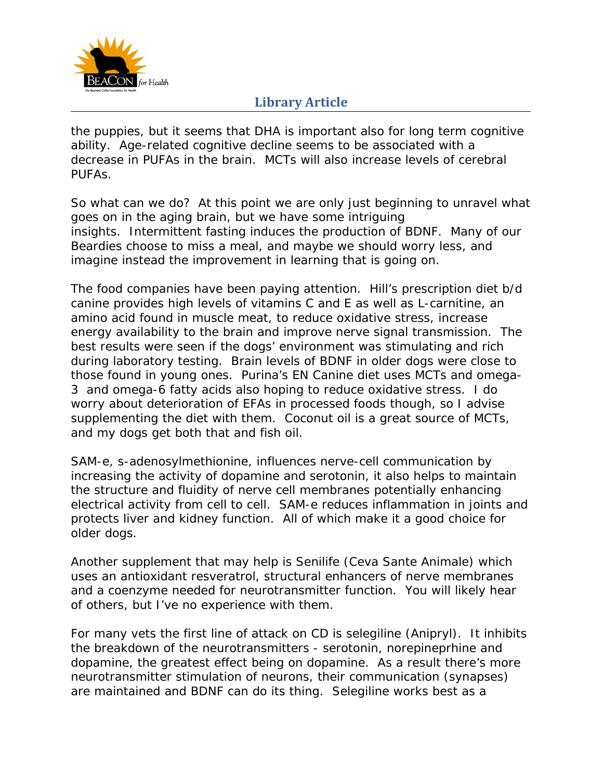

the puppies, but it seems that DHA is important also for long term cognitive ability. Age-related cognitive decline seems to be associated with a decrease in PUFAs in the brain. MCTs will also increase levels of cerebral PUFAs.

So what can we do? At this point we are only just beginning to unravel what goes on in the aging brain, but we have some intriguing insights. Intermittent fasting induces the production of BDNF. Many of our Beardies choose to miss a meal, and maybe we should worry less, and imagine instead the improvement in learning that is going on.

The food companies have been paying attention. Hill's prescription diet b/d canine provides high levels of vitamins C and E as well as L-carnitine, an amino acid found in muscle meat, to reduce oxidative stress, increase energy availability to the brain and improve nerve signal transmission. The best results were seen if the dogs' environment was stimulating and rich during laboratory testing. Brain levels of BDNF in older dogs were close to those found in young ones. Purina's EN Canine diet uses MCTs and omega-3 and omega-6 fatty acids also hoping to reduce oxidative stress. I do worry about deterioration of EFAs in processed foods though, so I advise supplementing the diet with them. Coconut oil is a great source of MCTs, and my dogs get both that and fish oil.

SAM-e, s-adenosylmethionine, influences nerve-cell communication by increasing the activity of dopamine and serotonin, it also helps to maintain the structure and fluidity of nerve cell membranes potentially enhancing electrical activity from cell to cell. SAM-e reduces inflammation in joints and protects liver and kidney function. All of which make it a good choice for older dogs.

Another supplement that may help is Senilife (Ceva Sante Animale) which uses an antioxidant resveratrol, structural enhancers of nerve membranes and a coenzyme needed for neurotransmitter function. You will likely hear of others, but I've no experience with them.

For many vets the first line of attack on CD is selegiline (Anipryl). It inhibits the breakdown of the neurotransmitters - serotonin, norepineprhine and dopamine, the greatest effect being on dopamine. As a result there's more neurotransmitter stimulation of neurons, their communication (synapses) are maintained and BDNF can do its thing. Selegiline works best as a